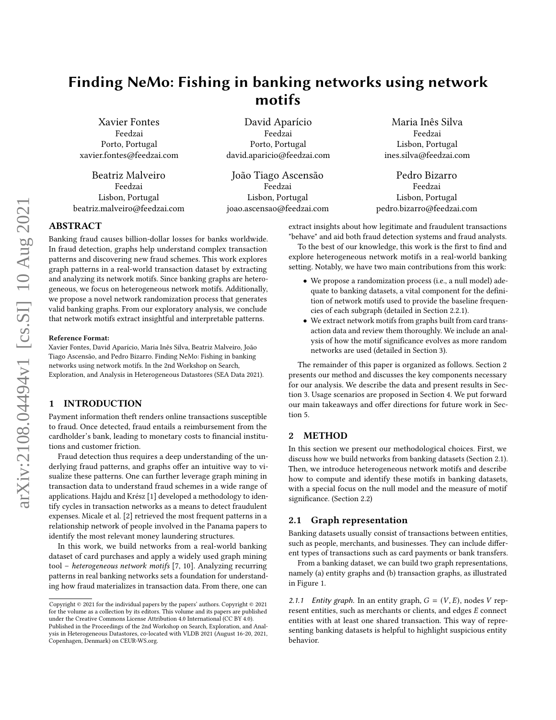# Finding NeMo: Fishing in banking networks using network motifs

Xavier Fontes Feedzai Porto, Portugal xavier.fontes@feedzai.com

Beatriz Malveiro Feedzai Lisbon, Portugal beatriz.malveiro@feedzai.com

David Aparício Feedzai Porto, Portugal david.aparicio@feedzai.com

João Tiago Ascensão Feedzai Lisbon, Portugal joao.ascensao@feedzai.com

Maria Inês Silva Feedzai Lisbon, Portugal ines.silva@feedzai.com

Pedro Bizarro Feedzai Lisbon, Portugal pedro.bizarro@feedzai.com

## ABSTRACT

Banking fraud causes billion-dollar losses for banks worldwide. In fraud detection, graphs help understand complex transaction patterns and discovering new fraud schemes. This work explores graph patterns in a real-world transaction dataset by extracting and analyzing its network motifs. Since banking graphs are heterogeneous, we focus on heterogeneous network motifs. Additionally, we propose a novel network randomization process that generates valid banking graphs. From our exploratory analysis, we conclude that network motifs extract insightful and interpretable patterns.

#### Reference Format:

Xavier Fontes, David Aparício, Maria Inês Silva, Beatriz Malveiro, João Tiago Ascensão, and Pedro Bizarro. Finding NeMo: Fishing in banking networks using network motifs. In the 2nd Workshop on Search, Exploration, and Analysis in Heterogeneous Datastores (SEA Data 2021).

# 1 INTRODUCTION

Payment information theft renders online transactions susceptible to fraud. Once detected, fraud entails a reimbursement from the cardholder's bank, leading to monetary costs to financial institutions and customer friction.

Fraud detection thus requires a deep understanding of the underlying fraud patterns, and graphs offer an intuitive way to visualize these patterns. One can further leverage graph mining in transaction data to understand fraud schemes in a wide range of applications. Hajdu and Krész [\[1\]](#page-5-0) developed a methodology to identify cycles in transaction networks as a means to detect fraudulent expenses. Micale et al. [\[2\]](#page-5-1) retrieved the most frequent patterns in a relationship network of people involved in the Panama papers to identify the most relevant money laundering structures.

In this work, we build networks from a real-world banking dataset of card purchases and apply a widely used graph mining tool – heterogeneous network motifs [\[7,](#page-5-2) [10\]](#page-5-3). Analyzing recurring patterns in real banking networks sets a foundation for understanding how fraud materializes in transaction data. From there, one can

extract insights about how legitimate and fraudulent transactions "behave" and aid both fraud detection systems and fraud analysts.

To the best of our knowledge, this work is the first to find and explore heterogeneous network motifs in a real-world banking setting. Notably, we have two main contributions from this work:

- We propose a randomization process (i.e., a null model) adequate to banking datasets, a vital component for the definition of network motifs used to provide the baseline frequencies of each subgraph (detailed in Section [2.2.1\)](#page-2-0).
- We extract network motifs from graphs built from card transaction data and review them thoroughly. We include an analysis of how the motif significance evolves as more random networks are used (detailed in Section [3\)](#page-3-0).

The remainder of this paper is organized as follows. Section [2](#page-0-0) presents our method and discusses the key components necessary for our analysis. We describe the data and present results in Section [3.](#page-3-0) Usage scenarios are proposed in Section [4.](#page-4-0) We put forward our main takeaways and offer directions for future work in Section [5.](#page-5-4)

# <span id="page-0-0"></span>2 METHOD

In this section we present our methodological choices. First, we discuss how we build networks from banking datasets (Section [2.1\)](#page-0-1). Then, we introduce heterogeneous network motifs and describe how to compute and identify these motifs in banking datasets, with a special focus on the null model and the measure of motif significance. (Section [2.2\)](#page-1-0)

## <span id="page-0-1"></span>2.1 Graph representation

Banking datasets usually consist of transactions between entities, such as people, merchants, and businesses. They can include different types of transactions such as card payments or bank transfers.

From a banking dataset, we can build two graph representations, namely (a) entity graphs and (b) transaction graphs, as illustrated in Figure [1.](#page-1-1)

<span id="page-0-2"></span>2.1.1 Entity graph. In an entity graph,  $G = (V, E)$ , nodes V represent entities, such as merchants or clients, and edges  $E$  connect entities with at least one shared transaction. This way of representing banking datasets is helpful to highlight suspicious entity behavior.

Copyright © 2021 for the individual papers by the papers' authors. Copyright © 2021 for the volume as a collection by its editors. This volume and its papers are published under the Creative Commons License Attribution 4.0 International (CC BY 4.0). Published in the Proceedings of the 2nd Workshop on Search, Exploration, and Analysis in Heterogeneous Datastores, co-located with VLDB 2021 (August 16-20, 2021,

Copenhagen, Denmark) on CEUR-WS.org.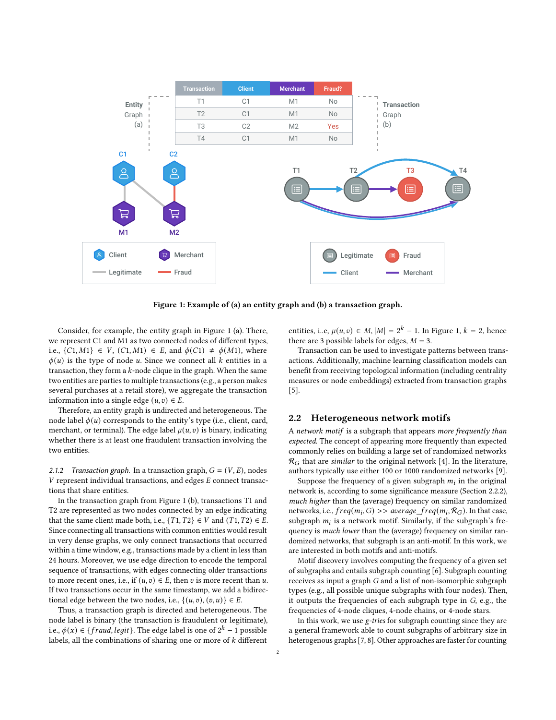<span id="page-1-1"></span>

Figure 1: Example of (a) an entity graph and (b) a transaction graph.

Consider, for example, the entity graph in Figure [1](#page-1-1) (a). There, we represent C1 and M1 as two connected nodes of different types, i.e., {C1, M1} ∈ V, (C1, M1) ∈ E, and  $\phi$ (C1) ≠  $\phi$ (M1), where  $\phi(u)$  is the type of node u. Since we connect all k entities in a transaction, they form a  $k$ -node clique in the graph. When the same two entities are parties to multiple transactions (e.g., a person makes several purchases at a retail store), we aggregate the transaction information into a single edge  $(u, v) \in E$ .

Therefore, an entity graph is undirected and heterogeneous. The node label  $\phi(u)$  corresponds to the entity's type (i.e., client, card, merchant, or terminal). The edge label  $\mu(u, v)$  is binary, indicating whether there is at least one fraudulent transaction involving the two entities.

<span id="page-1-2"></span>2.1.2 Transaction graph. In a transaction graph,  $G = (V, E)$ , nodes  $V$  represent individual transactions, and edges  $E$  connect transactions that share entities.

In the transaction graph from Figure [1](#page-1-1) (b), transactions T1 and T2 are represented as two nodes connected by an edge indicating that the same client made both, i.e.,  $\{T1, T2\} \in V$  and  $(T1, T2) \in E$ . Since connecting all transactions with common entities would result in very dense graphs, we only connect transactions that occurred within a time window, e.g., transactions made by a client in less than 24 hours. Moreover, we use edge direction to encode the temporal sequence of transactions, with edges connecting older transactions to more recent ones, i.e., if  $(u, v) \in E$ , then v is more recent than u. If two transactions occur in the same timestamp, we add a bidirectional edge between the two nodes, i.e.,  $\{(u, v), (v, u)\} \in E$ .

Thus, a transaction graph is directed and heterogeneous. The node label is binary (the transaction is fraudulent or legitimate), i.e., () ∈ { , }. The edge label is one of 2 − 1 possible labels, all the combinations of sharing one or more of  $k$  different

entities, i..e,  $\mu(u, v) \in M$ ,  $|M| = 2^k - 1$ . In Figure [1,](#page-1-1)  $k = 2$ , hence there are 3 possible labels for edges,  $M = 3$ .

Transaction can be used to investigate patterns between transactions. Additionally, machine learning classification models can benefit from receiving topological information (including centrality measures or node embeddings) extracted from transaction graphs [\[5\]](#page-5-5).

## <span id="page-1-0"></span>2.2 Heterogeneous network motifs

A network motif is a subgraph that appears more frequently than expected. The concept of appearing more frequently than expected commonly relies on building a large set of randomized networks  $\mathcal{R}_G$  that are similar to the original network [\[4\]](#page-5-6). In the literature, authors typically use either 100 or 1000 randomized networks [\[9\]](#page-5-7).

Suppose the frequency of a given subgraph  $m_i$  in the original network is, according to some significance measure (Section [2.2.2\)](#page-2-1), much higher than the (average) frequency on similar randomized networks, i.e.,  $freq(m_i, G) >> average\_freq(m_i, R_G)$ . In that case, subgraph  $m_i$  is a network motif. Similarly, if the subgraph's frequency is much lower than the (average) frequency on similar randomized networks, that subgraph is an anti-motif. In this work, we are interested in both motifs and anti-motifs.

Motif discovery involves computing the frequency of a given set of subgraphs and entails subgraph counting [\[6\]](#page-5-8). Subgraph counting receives as input a graph G and a list of non-isomorphic subgraph types (e.g., all possible unique subgraphs with four nodes). Then, it outputs the frequencies of each subgraph type in G, e.g., the frequencies of 4-node cliques, 4-node chains, or 4-node stars.

In this work, we use g-tries for subgraph counting since they are a general framework able to count subgraphs of arbitrary size in heterogenous graphs [\[7,](#page-5-2) [8\]](#page-5-9). Other approaches are faster for counting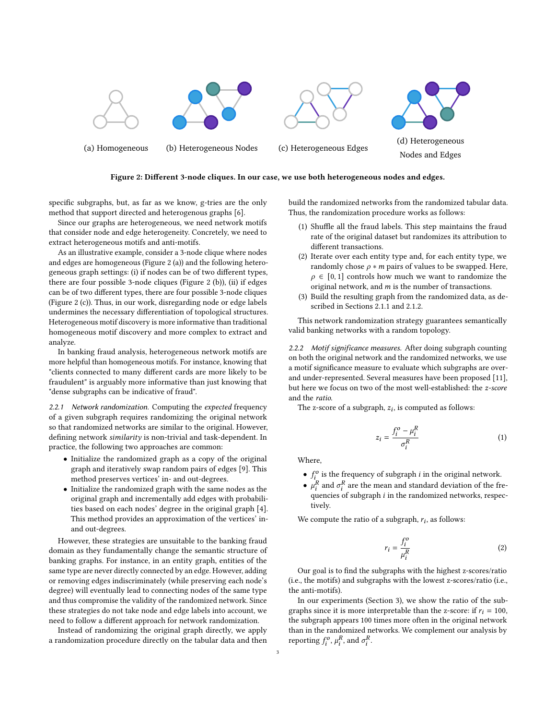<span id="page-2-2"></span>

Figure 2: Different 3-node cliques. In our case, we use both heterogeneous nodes and edges.

specific subgraphs, but, as far as we know, g-tries are the only method that support directed and heterogenous graphs [\[6\]](#page-5-8).

Since our graphs are heterogeneous, we need network motifs that consider node and edge heterogeneity. Concretely, we need to extract heterogeneous motifs and anti-motifs.

As an illustrative example, consider a 3-node clique where nodes and edges are homogeneous (Figure [2](#page-2-2) (a)) and the following heterogeneous graph settings: (i) if nodes can be of two different types, there are four possible 3-node cliques (Figure [2](#page-2-2) (b)), (ii) if edges can be of two different types, there are four possible 3-node cliques (Figure [2](#page-2-2) (c)). Thus, in our work, disregarding node or edge labels undermines the necessary differentiation of topological structures. Heterogeneous motif discovery is more informative than traditional homogeneous motif discovery and more complex to extract and analyze.

In banking fraud analysis, heterogeneous network motifs are more helpful than homogeneous motifs. For instance, knowing that "clients connected to many different cards are more likely to be fraudulent" is arguably more informative than just knowing that "dense subgraphs can be indicative of fraud".

<span id="page-2-0"></span>2.2.1 Network randomization. Computing the expected frequency of a given subgraph requires randomizing the original network so that randomized networks are similar to the original. However, defining network similarity is non-trivial and task-dependent. In practice, the following two approaches are common:

- Initialize the randomized graph as a copy of the original graph and iteratively swap random pairs of edges [\[9\]](#page-5-7). This method preserves vertices' in- and out-degrees.
- Initialize the randomized graph with the same nodes as the original graph and incrementally add edges with probabilities based on each nodes' degree in the original graph [\[4\]](#page-5-6). This method provides an approximation of the vertices' inand out-degrees.

However, these strategies are unsuitable to the banking fraud domain as they fundamentally change the semantic structure of banking graphs. For instance, in an entity graph, entities of the same type are never directly connected by an edge. However, adding or removing edges indiscriminately (while preserving each node's degree) will eventually lead to connecting nodes of the same type and thus compromise the validity of the randomized network. Since these strategies do not take node and edge labels into account, we need to follow a different approach for network randomization.

Instead of randomizing the original graph directly, we apply a randomization procedure directly on the tabular data and then

build the randomized networks from the randomized tabular data. Thus, the randomization procedure works as follows:

- (1) Shuffle all the fraud labels. This step maintains the fraud rate of the original dataset but randomizes its attribution to different transactions.
- (2) Iterate over each entity type and, for each entity type, we randomly chose  $\rho * m$  pairs of values to be swapped. Here,  $\rho \in [0, 1]$  controls how much we want to randomize the original network, and  $m$  is the number of transactions.
- (3) Build the resulting graph from the randomized data, as described in Sections [2.1.1](#page-0-2) and [2.1.2.](#page-1-2)

This network randomization strategy guarantees semantically valid banking networks with a random topology.

<span id="page-2-1"></span>2.2.2 Motif significance measures. After doing subgraph counting on both the original network and the randomized networks, we use a motif significance measure to evaluate which subgraphs are overand under-represented. Several measures have been proposed [\[11\]](#page-5-10), but here we focus on two of the most well-established: the z-score and the ratio.

The z-score of a subgraph,  $z_i$ , is computed as follows:

$$
z_i = \frac{f_i^o - \mu_i^R}{\sigma_i^R} \tag{1}
$$

Where,

- $f_i^o$  is the frequency of subgraph *i* in the original network.
- $\bullet$   $\mu_i^R$  and  $\sigma_i^R$  are the mean and standard deviation of the frequencies of subgraph  $i$  in the randomized networks, respectively.

We compute the ratio of a subgraph,  $r_i$ , as follows:

<span id="page-2-3"></span>
$$
r_i = \frac{f_i^o}{\mu_i^R} \tag{2}
$$

Our goal is to find the subgraphs with the highest z-scores/ratio (i.e., the motifs) and subgraphs with the lowest z-scores/ratio (i.e., the anti-motifs).

In our experiments (Section [3\)](#page-3-0), we show the ratio of the subgraphs since it is more interpretable than the z-score: if  $r_i = 100$ , the subgraph appears 100 times more often in the original network than in the randomized networks. We complement our analysis by reporting  $f_i^o$ ,  $\mu_i^R$ , and  $\sigma_i^R$ .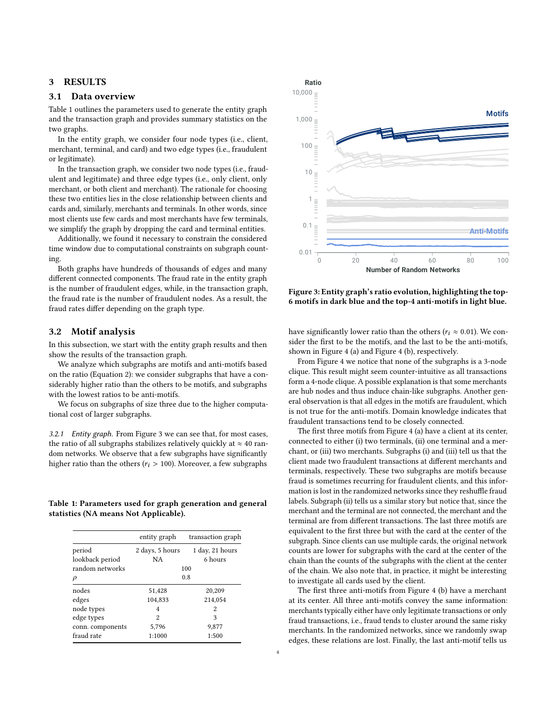## <span id="page-3-0"></span>3 RESULTS

#### 3.1 Data overview

Table [1](#page-3-1) outlines the parameters used to generate the entity graph and the transaction graph and provides summary statistics on the two graphs.

In the entity graph, we consider four node types (i.e., client, merchant, terminal, and card) and two edge types (i.e., fraudulent or legitimate).

In the transaction graph, we consider two node types (i.e., fraudulent and legitimate) and three edge types (i.e., only client, only merchant, or both client and merchant). The rationale for choosing these two entities lies in the close relationship between clients and cards and, similarly, merchants and terminals. In other words, since most clients use few cards and most merchants have few terminals, we simplify the graph by dropping the card and terminal entities.

Additionally, we found it necessary to constrain the considered time window due to computational constraints on subgraph counting.

Both graphs have hundreds of thousands of edges and many different connected components. The fraud rate in the entity graph is the number of fraudulent edges, while, in the transaction graph, the fraud rate is the number of fraudulent nodes. As a result, the fraud rates differ depending on the graph type.

#### 3.2 Motif analysis

In this subsection, we start with the entity graph results and then show the results of the transaction graph.

We analyze which subgraphs are motifs and anti-motifs based on the ratio (Equation [2\)](#page-2-3): we consider subgraphs that have a considerably higher ratio than the others to be motifs, and subgraphs with the lowest ratios to be anti-motifs.

We focus on subgraphs of size three due to the higher computational cost of larger subgraphs.

3.2.1 Entity graph. From Figure [3](#page-3-2) we can see that, for most cases, the ratio of all subgraphs stabilizes relatively quickly at  $\approx$  40 random networks. We observe that a few subgraphs have significantly higher ratio than the others ( $r_i > 100$ ). Moreover, a few subgraphs

<span id="page-3-1"></span>Table 1: Parameters used for graph generation and general statistics (NA means Not Applicable).

|                  | entity graph    | transaction graph |
|------------------|-----------------|-------------------|
| period           | 2 days, 5 hours | 1 day, 21 hours   |
| lookback period  | NA              | 6 hours           |
| random networks  | 100             |                   |
| $\rho$           | 0.8             |                   |
| nodes            | 51,428          | 20,209            |
| edges            | 104,833         | 214,054           |
| node types       | 4               | 2                 |
| edge types       | 2               | 3                 |
| conn. components | 5,796           | 9,877             |
| fraud rate       | 1:1000          | 1:500             |
|                  |                 |                   |

<span id="page-3-2"></span>

Figure 3: Entity graph's ratio evolution, highlighting the top-6 motifs in dark blue and the top-4 anti-motifs in light blue.

have significantly lower ratio than the others ( $r_i \approx 0.01$ ). We consider the first to be the motifs, and the last to be the anti-motifs, shown in Figure [4](#page-4-1) (a) and Figure [4](#page-4-1) (b), respectively.

From Figure [4](#page-4-1) we notice that none of the subgraphs is a 3-node clique. This result might seem counter-intuitive as all transactions form a 4-node clique. A possible explanation is that some merchants are hub nodes and thus induce chain-like subgraphs. Another general observation is that all edges in the motifs are fraudulent, which is not true for the anti-motifs. Domain knowledge indicates that fraudulent transactions tend to be closely connected.

The first three motifs from Figure [4](#page-4-1) (a) have a client at its center, connected to either (i) two terminals, (ii) one terminal and a merchant, or (iii) two merchants. Subgraphs (i) and (iii) tell us that the client made two fraudulent transactions at different merchants and terminals, respectively. These two subgraphs are motifs because fraud is sometimes recurring for fraudulent clients, and this information is lost in the randomized networks since they reshuffle fraud labels. Subgraph (ii) tells us a similar story but notice that, since the merchant and the terminal are not connected, the merchant and the terminal are from different transactions. The last three motifs are equivalent to the first three but with the card at the center of the subgraph. Since clients can use multiple cards, the original network counts are lower for subgraphs with the card at the center of the chain than the counts of the subgraphs with the client at the center of the chain. We also note that, in practice, it might be interesting to investigate all cards used by the client.

The first three anti-motifs from Figure [4](#page-4-1) (b) have a merchant at its center. All three anti-motifs convey the same information: merchants typically either have only legitimate transactions or only fraud transactions, i.e., fraud tends to cluster around the same risky merchants. In the randomized networks, since we randomly swap edges, these relations are lost. Finally, the last anti-motif tells us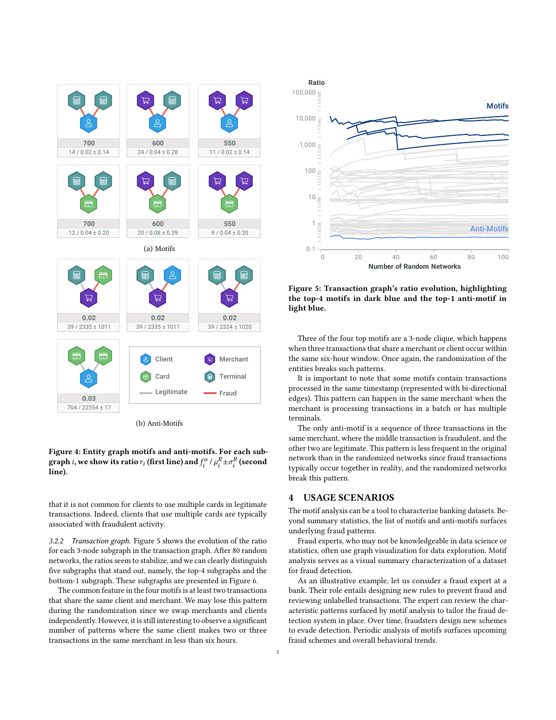<span id="page-4-1"></span>

Figure 4: Entity graph motifs and anti-motifs. For each subgraph *i*, we show its ratio  $r_i$  (first line) and  $f_i^o$  /  $\mu_i^R \pm \sigma_i^R$  (second line).

that it is not common for clients to use multiple cards in legitimate transactions. Indeed, clients that use multiple cards are typically associated with fraudulent activity.

3.2.2 Transaction graph. Figure [5](#page-4-2) shows the evolution of the ratio for each 3-node subgraph in the transaction graph. After 80 random networks, the ratios seem to stabilize, and we can clearly distinguish five subgraphs that stand out, namely, the top-4 subgraphs and the bottom-1 subgraph. These subgraphs are presented in Figure [6.](#page-5-11)

The common feature in the four motifs is at least two transactions that share the same client and merchant. We may lose this pattern during the randomization since we swap merchants and clients independently. However, it is still interesting to observe a significant number of patterns where the same client makes two or three transactions in the same merchant in less than six hours.

<span id="page-4-2"></span>

Figure 5: Transaction graph's ratio evolution, highlighting the top-4 motifs in dark blue and the top-1 anti-motif in light blue.

Three of the four top motifs are a 3-node clique, which happens when three transactions that share a merchant or client occur within the same six-hour window. Once again, the randomization of the entities breaks such patterns.

It is important to note that some motifs contain transactions processed in the same timestamp (represented with bi-directional edges). This pattern can happen in the same merchant when the merchant is processing transactions in a batch or has multiple terminals.

The only anti-motif is a sequence of three transactions in the same merchant, where the middle transaction is fraudulent, and the other two are legitimate. This pattern is less frequent in the original network than in the randomized networks since fraud transactions typically occur together in reality, and the randomized networks break this pattern.

## <span id="page-4-0"></span>4 USAGE SCENARIOS

The motif analysis can be a tool to characterize banking datasets. Beyond summary statistics, the list of motifs and anti-motifs surfaces underlying fraud patterns.

Fraud experts, who may not be knowledgeable in data science or statistics, often use graph visualization for data exploration. Motif analysis serves as a visual summary characterization of a dataset for fraud detection.

As an illustrative example, let us consider a fraud expert at a bank. Their role entails designing new rules to prevent fraud and reviewing unlabelled transactions. The expert can review the characteristic patterns surfaced by motif analysis to tailor the fraud detection system in place. Over time, fraudsters design new schemes to evade detection. Periodic analysis of motifs surfaces upcoming fraud schemes and overall behavioral trends.